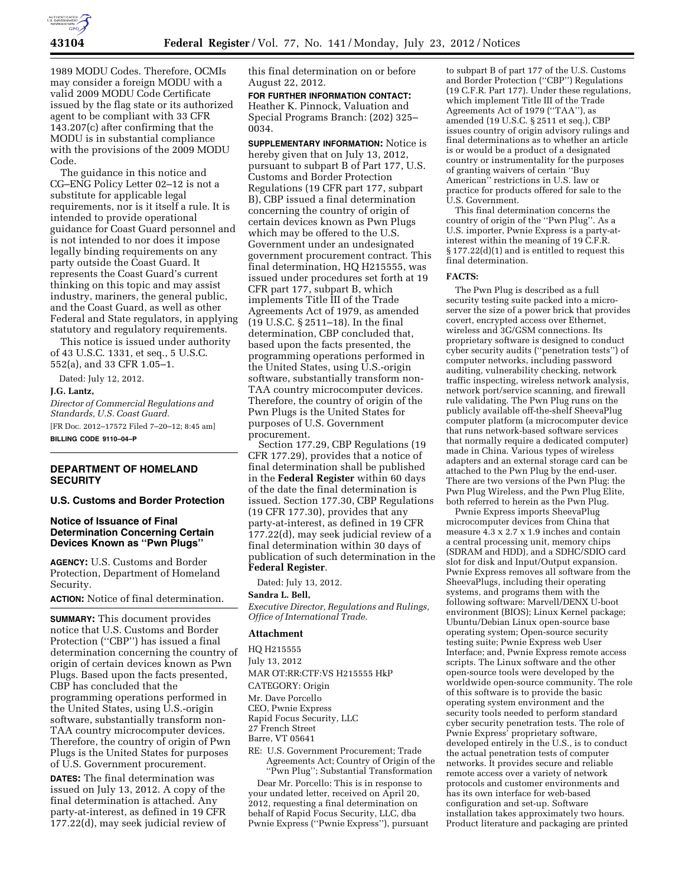

1989 MODU Codes. Therefore, OCMIs may consider a foreign MODU with a valid 2009 MODU Code Certificate issued by the flag state or its authorized agent to be compliant with 33 CFR 143.207(c) after confirming that the MODU is in substantial compliance with the provisions of the 2009 MODU Code.

The guidance in this notice and CG–ENG Policy Letter 02–12 is not a substitute for applicable legal requirements, nor is it itself a rule. It is intended to provide operational guidance for Coast Guard personnel and is not intended to nor does it impose legally binding requirements on any party outside the Coast Guard. It represents the Coast Guard's current thinking on this topic and may assist industry, mariners, the general public, and the Coast Guard, as well as other Federal and State regulators, in applying statutory and regulatory requirements.

This notice is issued under authority of 43 U.S.C. 1331, et seq., 5 U.S.C. 552(a), and 33 CFR 1.05–1.

Dated: July 12, 2012.

#### **J.G. Lantz,**

*Director of Commercial Regulations and Standards, U.S. Coast Guard.*  [FR Doc. 2012–17572 Filed 7–20–12; 8:45 am] **BILLING CODE 9110–04–P** 

### **DEPARTMENT OF HOMELAND SECURITY**

#### **U.S. Customs and Border Protection**

### **Notice of Issuance of Final Determination Concerning Certain Devices Known as ''Pwn Plugs''**

**AGENCY:** U.S. Customs and Border Protection, Department of Homeland Security.

**ACTION:** Notice of final determination.

**SUMMARY:** This document provides notice that U.S. Customs and Border Protection ("CBP") has issued a final determination concerning the country of origin of certain devices known as Pwn Plugs. Based upon the facts presented, CBP has concluded that the programming operations performed in the United States, using U.S.-origin software, substantially transform non-TAA country microcomputer devices. Therefore, the country of origin of Pwn Plugs is the United States for purposes of U.S. Government procurement.

**DATES:** The final determination was issued on July 13, 2012. A copy of the final determination is attached. Any party-at-interest, as defined in 19 CFR 177.22(d), may seek judicial review of this final determination on or before August 22, 2012.

**FOR FURTHER INFORMATION CONTACT:**  Heather K. Pinnock, Valuation and Special Programs Branch: (202) 325– 0034.

**SUPPLEMENTARY INFORMATION:** Notice is hereby given that on July 13, 2012, pursuant to subpart B of Part 177, U.S. Customs and Border Protection Regulations (19 CFR part 177, subpart B), CBP issued a final determination concerning the country of origin of certain devices known as Pwn Plugs which may be offered to the U.S. Government under an undesignated government procurement contract. This final determination, HQ H215555, was issued under procedures set forth at 19 CFR part 177, subpart B, which implements Title III of the Trade Agreements Act of 1979, as amended (19 U.S.C. § 2511–18). In the final determination, CBP concluded that, based upon the facts presented, the programming operations performed in the United States, using U.S.-origin software, substantially transform non-TAA country microcomputer devices. Therefore, the country of origin of the Pwn Plugs is the United States for purposes of U.S. Government procurement.

Section 177.29, CBP Regulations (19 CFR 177.29), provides that a notice of final determination shall be published in the **Federal Register** within 60 days of the date the final determination is issued. Section 177.30, CBP Regulations (19 CFR 177.30), provides that any party-at-interest, as defined in 19 CFR 177.22(d), may seek judicial review of a final determination within 30 days of publication of such determination in the **Federal Register**.

Dated: July 13, 2012.

#### **Sandra L. Bell,**

*Executive Director, Regulations and Rulings, Office of International Trade.* 

#### **Attachment**

HQ H215555 July 13, 2012

MAR OT:RR:CTF:VS H215555 HkP

- CATEGORY: Origin
- Mr. Dave Porcello

CEO, Pwnie Express Rapid Focus Security, LLC

27 French Street

- Barre, VT 05641
- RE: U.S. Government Procurement; Trade Agreements Act; Country of Origin of the ''Pwn Plug''; Substantial Transformation

Dear Mr. Porcello: This is in response to your undated letter, received on April 20, 2012, requesting a final determination on behalf of Rapid Focus Security, LLC, dba Pwnie Express (''Pwnie Express''), pursuant

to subpart B of part 177 of the U.S. Customs and Border Protection (''CBP'') Regulations (19 C.F.R. Part 177). Under these regulations, which implement Title III of the Trade Agreements Act of 1979 (''TAA''), as amended (19 U.S.C. § 2511 et seq.), CBP issues country of origin advisory rulings and final determinations as to whether an article is or would be a product of a designated country or instrumentality for the purposes of granting waivers of certain ''Buy American'' restrictions in U.S. law or practice for products offered for sale to the U.S. Government.

This final determination concerns the country of origin of the ''Pwn Plug''. As a U.S. importer, Pwnie Express is a party-atinterest within the meaning of 19 C.F.R. § 177.22(d)(1) and is entitled to request this final determination.

#### **FACTS:**

The Pwn Plug is described as a full security testing suite packed into a microserver the size of a power brick that provides covert, encrypted access over Ethernet, wireless and 3G/GSM connections. Its proprietary software is designed to conduct cyber security audits (''penetration tests'') of computer networks, including password auditing, vulnerability checking, network traffic inspecting, wireless network analysis, network port/service scanning, and firewall rule validating. The Pwn Plug runs on the publicly available off-the-shelf SheevaPlug computer platform (a microcomputer device that runs network-based software services that normally require a dedicated computer) made in China. Various types of wireless adapters and an external storage card can be attached to the Pwn Plug by the end-user. There are two versions of the Pwn Plug: the Pwn Plug Wireless, and the Pwn Plug Elite, both referred to herein as the Pwn Plug.

Pwnie Express imports SheevaPlug microcomputer devices from China that measure 4.3 x 2.7 x 1.9 inches and contain a central processing unit, memory chips (SDRAM and HDD), and a SDHC/SDIO card slot for disk and Input/Output expansion. Pwnie Express removes all software from the SheevaPlugs, including their operating systems, and programs them with the following software: Marvell/DENX U-boot environment (BIOS); Linux Kernel package; Ubuntu/Debian Linux open-source base operating system; Open-source security testing suite; Pwnie Express web User Interface; and, Pwnie Express remote access scripts. The Linux software and the other open-source tools were developed by the worldwide open-source community. The role of this software is to provide the basic operating system environment and the security tools needed to perform standard cyber security penetration tests. The role of Pwnie Express' proprietary software, developed entirely in the U.S., is to conduct the actual penetration tests of computer networks. It provides secure and reliable remote access over a variety of network protocols and customer environments and has its own interface for web-based configuration and set-up. Software installation takes approximately two hours. Product literature and packaging are printed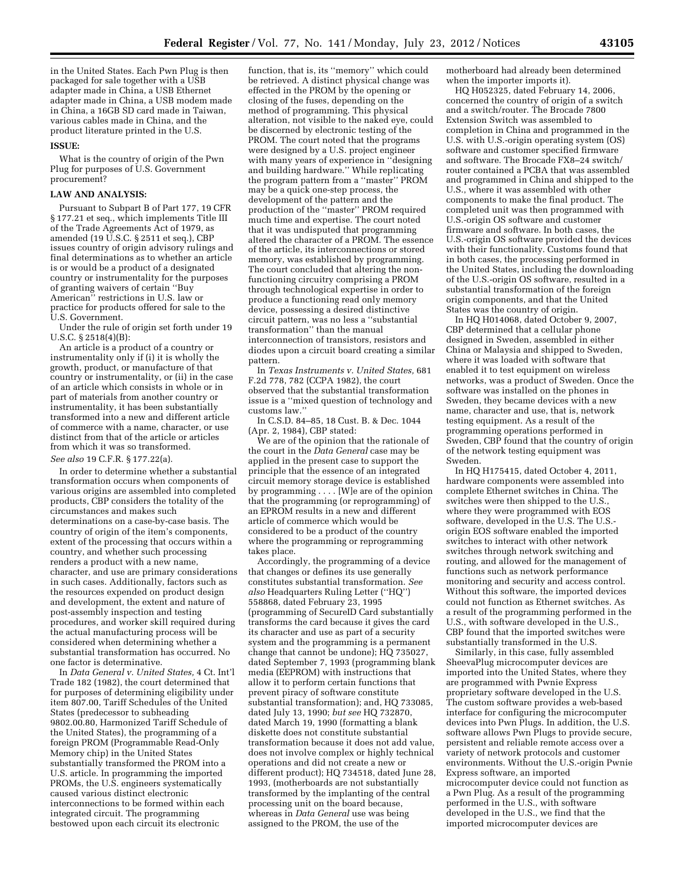in the United States. Each Pwn Plug is then packaged for sale together with a USB adapter made in China, a USB Ethernet adapter made in China, a USB modem made in China, a 16GB SD card made in Taiwan, various cables made in China, and the product literature printed in the U.S.

#### **ISSUE:**

What is the country of origin of the Pwn Plug for purposes of U.S. Government procurement?

#### **LAW AND ANALYSIS:**

Pursuant to Subpart B of Part 177, 19 CFR § 177.21 et seq., which implements Title III of the Trade Agreements Act of 1979, as amended (19 U.S.C. § 2511 et seq.), CBP issues country of origin advisory rulings and final determinations as to whether an article is or would be a product of a designated country or instrumentality for the purposes of granting waivers of certain ''Buy American'' restrictions in U.S. law or practice for products offered for sale to the U.S. Government.

Under the rule of origin set forth under 19 U.S.C. § 2518(4)(B):

An article is a product of a country or instrumentality only if (i) it is wholly the growth, product, or manufacture of that country or instrumentality, or (ii) in the case of an article which consists in whole or in part of materials from another country or instrumentality, it has been substantially transformed into a new and different article of commerce with a name, character, or use distinct from that of the article or articles from which it was so transformed.

# *See also* 19 C.F.R. § 177.22(a).

In order to determine whether a substantial transformation occurs when components of various origins are assembled into completed products, CBP considers the totality of the circumstances and makes such determinations on a case-by-case basis. The country of origin of the item's components, extent of the processing that occurs within a country, and whether such processing renders a product with a new name, character, and use are primary considerations in such cases. Additionally, factors such as the resources expended on product design and development, the extent and nature of post-assembly inspection and testing procedures, and worker skill required during the actual manufacturing process will be considered when determining whether a substantial transformation has occurred. No one factor is determinative.

In *Data General v. United States,* 4 Ct. Int'l Trade 182 (1982), the court determined that for purposes of determining eligibility under item 807.00, Tariff Schedules of the United States (predecessor to subheading 9802.00.80, Harmonized Tariff Schedule of the United States), the programming of a foreign PROM (Programmable Read-Only Memory chip) in the United States substantially transformed the PROM into a U.S. article. In programming the imported PROMs, the U.S. engineers systematically caused various distinct electronic interconnections to be formed within each integrated circuit. The programming bestowed upon each circuit its electronic

function, that is, its ''memory'' which could be retrieved. A distinct physical change was effected in the PROM by the opening or closing of the fuses, depending on the method of programming. This physical alteration, not visible to the naked eye, could be discerned by electronic testing of the PROM. The court noted that the programs were designed by a U.S. project engineer with many years of experience in ''designing and building hardware.'' While replicating the program pattern from a ''master'' PROM may be a quick one-step process, the development of the pattern and the production of the ''master'' PROM required much time and expertise. The court noted that it was undisputed that programming altered the character of a PROM. The essence of the article, its interconnections or stored memory, was established by programming. The court concluded that altering the nonfunctioning circuitry comprising a PROM through technological expertise in order to produce a functioning read only memory device, possessing a desired distinctive circuit pattern, was no less a ''substantial transformation'' than the manual interconnection of transistors, resistors and diodes upon a circuit board creating a similar pattern.

In *Texas Instruments v. United States,* 681 F.2d 778, 782 (CCPA 1982), the court observed that the substantial transformation issue is a ''mixed question of technology and customs law.''

In C.S.D. 84–85, 18 Cust. B. & Dec. 1044 (Apr. 2, 1984), CBP stated:

We are of the opinion that the rationale of the court in the *Data General* case may be applied in the present case to support the principle that the essence of an integrated circuit memory storage device is established by programming . . . . [W]e are of the opinion that the programming (or reprogramming) of an EPROM results in a new and different article of commerce which would be considered to be a product of the country where the programming or reprogramming takes place.

Accordingly, the programming of a device that changes or defines its use generally constitutes substantial transformation. *See also* Headquarters Ruling Letter (''HQ'') 558868, dated February 23, 1995 (programming of SecureID Card substantially transforms the card because it gives the card its character and use as part of a security system and the programming is a permanent change that cannot be undone); HQ 735027, dated September 7, 1993 (programming blank media (EEPROM) with instructions that allow it to perform certain functions that prevent piracy of software constitute substantial transformation); and, HQ 733085, dated July 13, 1990; *but see* HQ 732870, dated March 19, 1990 (formatting a blank diskette does not constitute substantial transformation because it does not add value, does not involve complex or highly technical operations and did not create a new or different product); HQ 734518, dated June 28, 1993, (motherboards are not substantially transformed by the implanting of the central processing unit on the board because, whereas in *Data General* use was being assigned to the PROM, the use of the

motherboard had already been determined when the importer imports it).

HQ H052325, dated February 14, 2006, concerned the country of origin of a switch and a switch/router. The Brocade 7800 Extension Switch was assembled to completion in China and programmed in the U.S. with U.S.-origin operating system (OS) software and customer specified firmware and software. The Brocade FX8–24 switch/ router contained a PCBA that was assembled and programmed in China and shipped to the U.S., where it was assembled with other components to make the final product. The completed unit was then programmed with U.S.-origin OS software and customer firmware and software. In both cases, the U.S.-origin OS software provided the devices with their functionality. Customs found that in both cases, the processing performed in the United States, including the downloading of the U.S.-origin OS software, resulted in a substantial transformation of the foreign origin components, and that the United States was the country of origin.

In HQ H014068, dated October 9, 2007, CBP determined that a cellular phone designed in Sweden, assembled in either China or Malaysia and shipped to Sweden, where it was loaded with software that enabled it to test equipment on wireless networks, was a product of Sweden. Once the software was installed on the phones in Sweden, they became devices with a new name, character and use, that is, network testing equipment. As a result of the programming operations performed in Sweden, CBP found that the country of origin of the network testing equipment was Sweden.

In HQ H175415, dated October 4, 2011, hardware components were assembled into complete Ethernet switches in China. The switches were then shipped to the U.S., where they were programmed with EOS software, developed in the U.S. The U.S. origin EOS software enabled the imported switches to interact with other network switches through network switching and routing, and allowed for the management of functions such as network performance monitoring and security and access control. Without this software, the imported devices could not function as Ethernet switches. As a result of the programming performed in the U.S., with software developed in the U.S., CBP found that the imported switches were substantially transformed in the U.S.

Similarly, in this case, fully assembled SheevaPlug microcomputer devices are imported into the United States, where they are programmed with Pwnie Express proprietary software developed in the U.S. The custom software provides a web-based interface for configuring the microcomputer devices into Pwn Plugs. In addition, the U.S. software allows Pwn Plugs to provide secure, persistent and reliable remote access over a variety of network protocols and customer environments. Without the U.S.-origin Pwnie Express software, an imported microcomputer device could not function as a Pwn Plug. As a result of the programming performed in the U.S., with software developed in the U.S., we find that the imported microcomputer devices are